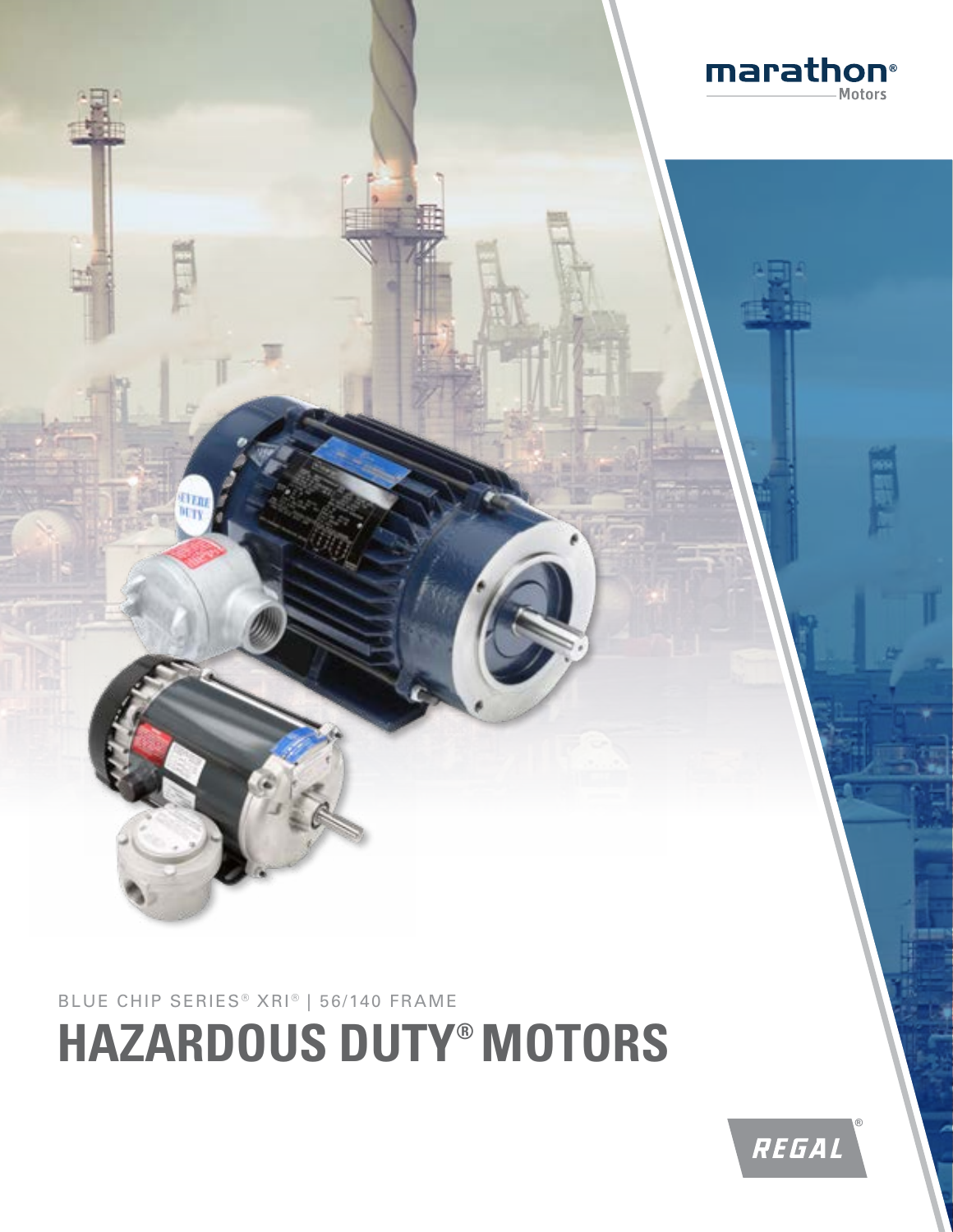

## **HAZARDOUS DUTY® MOTORS**

BLUE CHIP SERIES<sup>®</sup> XRI<sup>®</sup> | 56/140 FRAME

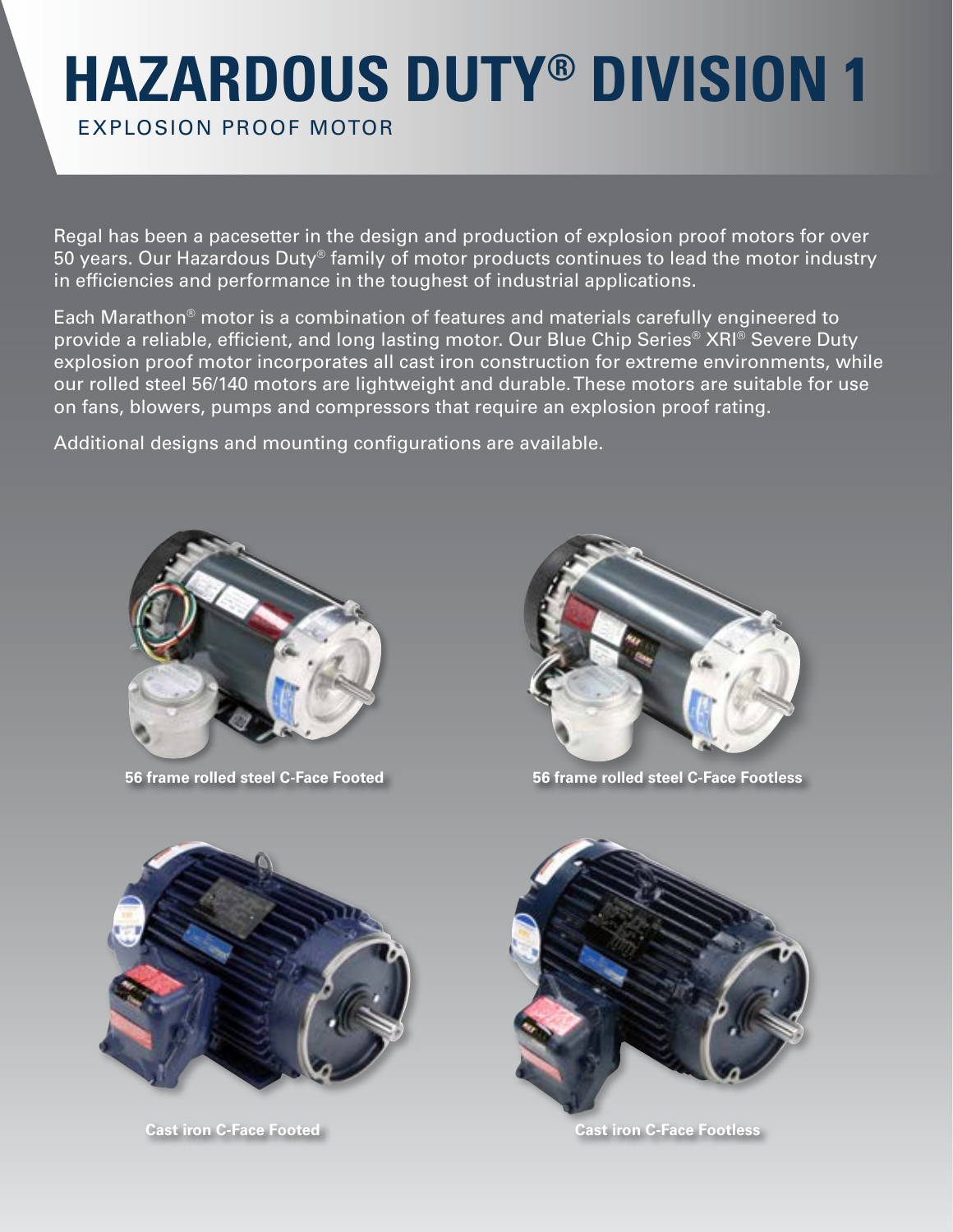# **HAZARDOUS DUTY® DIVISION 1**

EXPLOSION PROOF MOTOR

Regal has been a pacesetter in the design and production of explosion proof motors for over 50 years. Our Hazardous Duty® family of motor products continues to lead the motor industry in efficiencies and performance in the toughest of industrial applications.

Each Marathon® motor is a combination of features and materials carefully engineered to provide a reliable, efficient, and long lasting motor. Our Blue Chip Series® XRI® Severe Duty explosion proof motor incorporates all cast iron construction for extreme environments, while our rolled steel 56/140 motors are lightweight and durable. These motors are suitable for use on fans, blowers, pumps and compressors that require an explosion proof rating.

Additional designs and mounting configurations are available.



**56 frame rolled steel C-Face Footed**



**56 frame rolled steel C-Face Footless** 



**Cast iron C-Face Footed** 



**Cast iron C-Face Footless**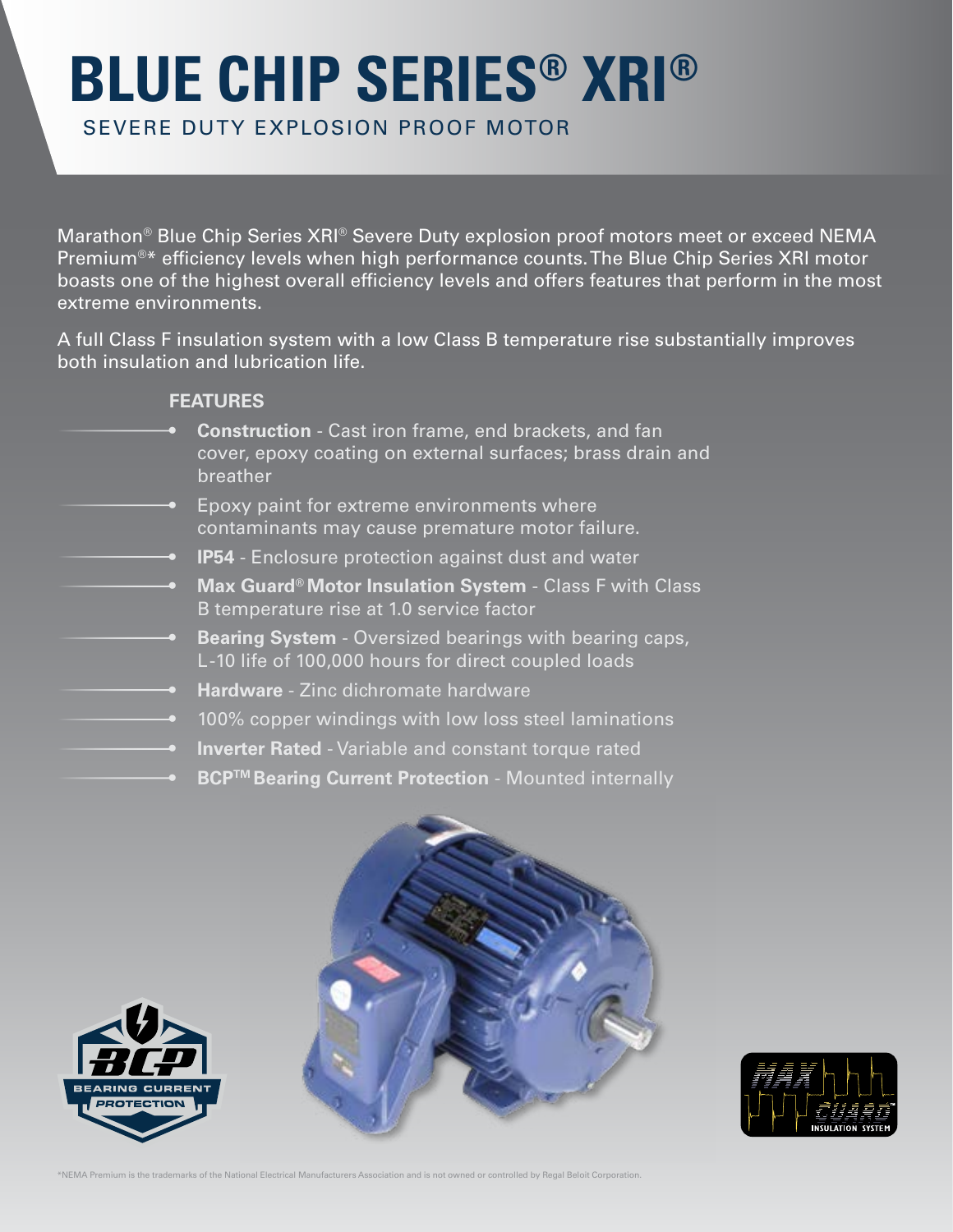## **BLUE CHIP SERIES® XRI®**

SEVERE DUTY EXPLOSION PROOF MOTOR

Marathon® Blue Chip Series XRI® Severe Duty explosion proof motors meet or exceed NEMA Premium®\* efficiency levels when high performance counts. The Blue Chip Series XRI motor boasts one of the highest overall efficiency levels and offers features that perform in the most extreme environments.

A full Class F insulation system with a low Class B temperature rise substantially improves both insulation and lubrication life.

#### **FEATURES**

- **• Construction** Cast iron frame, end brackets, and fan cover, epoxy coating on external surfaces; brass drain and breather
- Epoxy paint for extreme environments where contaminants may cause premature motor failure.
	- **• IP54** Enclosure protection against dust and water
		- **• Max Guard® Motor Insulation System** Class F with Class B temperature rise at 1.0 service factor
		- **• Bearing System** Oversized bearings with bearing caps, L -10 life of 100,000 hours for direct coupled loads
		- **• Hardware** Zinc dichromate hardware
		- 100% copper windings with low loss steel laminations
		- **• Inverter Rated** Variable and constant torque rated
		- **BCP™ Bearing Current Protection** Mounted internally







\*NEMA Premium is the trademarks of the National Electrical Manufacturers Association and is not owned or controlled by Regal Beloit Corporation.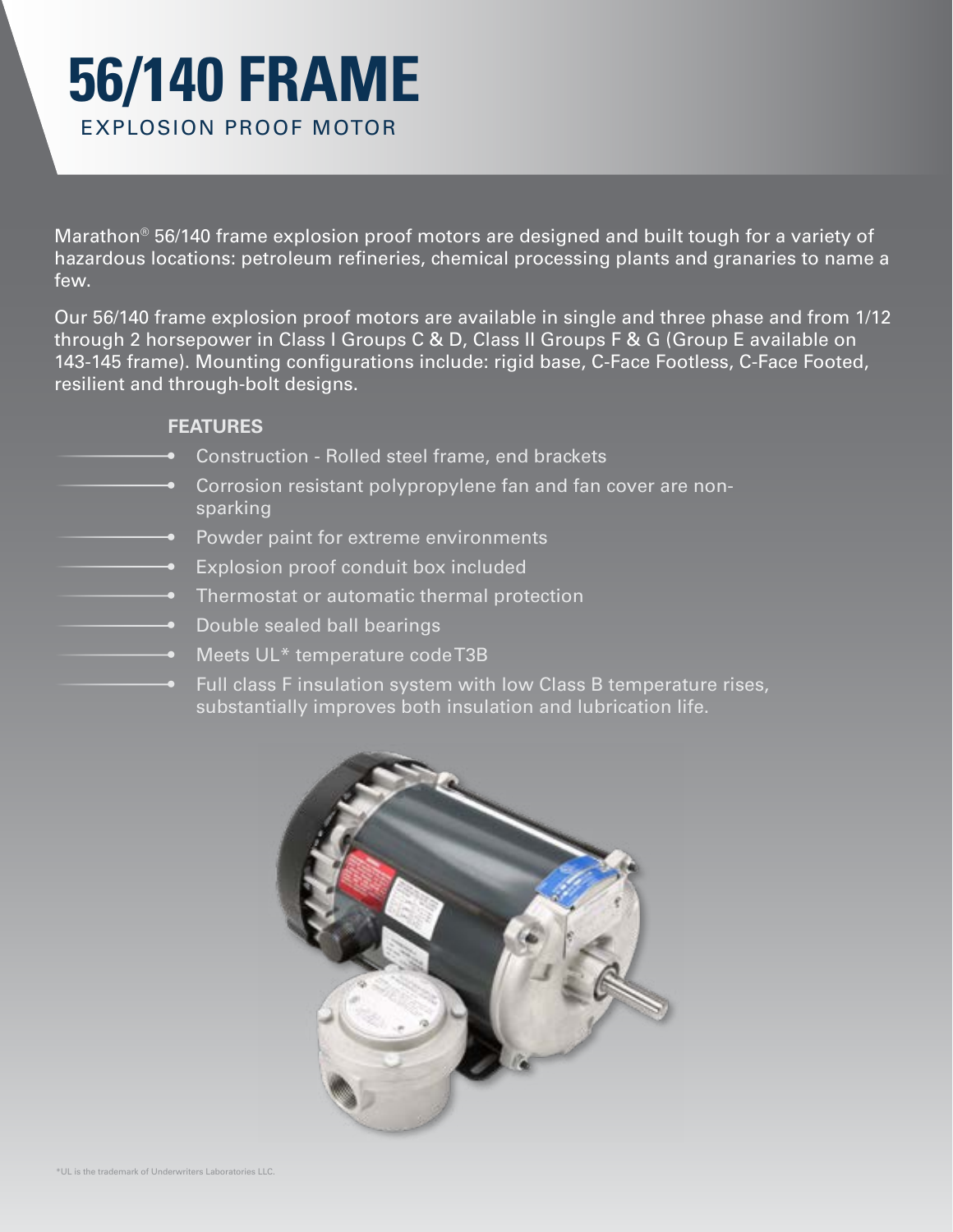### **56/140 FRAME** EXPLOSION PROOF MOTOR

Marathon® 56/140 frame explosion proof motors are designed and built tough for a variety of hazardous locations: petroleum refineries, chemical processing plants and granaries to name a few.

Our 56/140 frame explosion proof motors are available in single and three phase and from 1/12 through 2 horsepower in Class I Groups C & D, Class II Groups F & G (Group E available on 143-145 frame). Mounting configurations include: rigid base, C-Face Footless, C-Face Footed, resilient and through-bolt designs.

### **FEATURES**

- Construction Rolled steel frame, end brackets
- Corrosion resistant polypropylene fan and fan cover are nonsparking
- Powder paint for extreme environments
- Explosion proof conduit box included
- Thermostat or automatic thermal protection
- Double sealed ball bearings
- Meets UL<sup>\*</sup> temperature code T3B
	- Full class F insulation system with low Class B temperature rises, substantially improves both insulation and lubrication life.

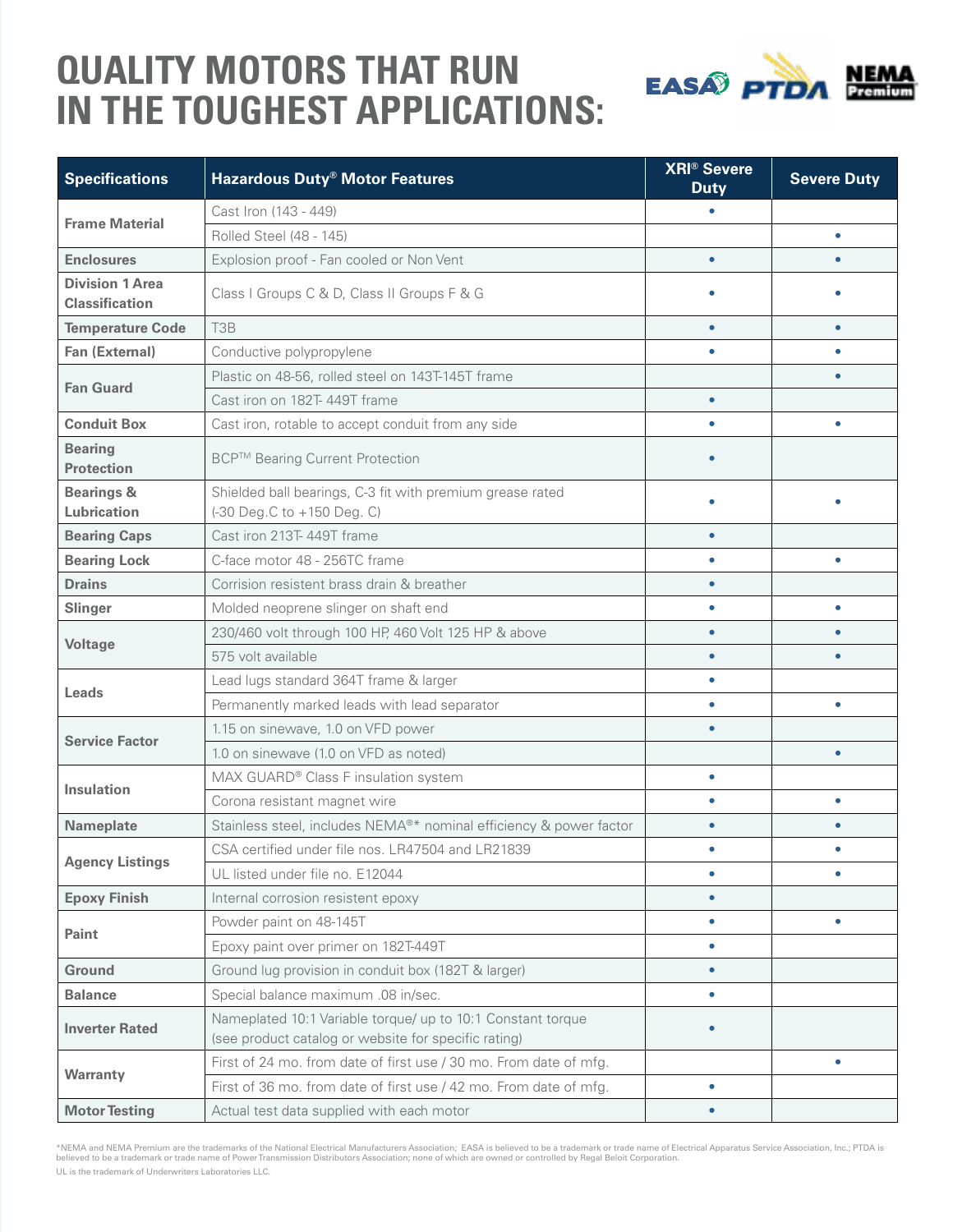### **QUALITY MOTORS THAT RUN IN THE TOUGHEST APPLICATIONS:**



| <b>Specifications</b>                           | <b>Hazardous Duty<sup>®</sup> Motor Features</b>                   | <b>XRI® Severe</b><br><b>Duty</b> | <b>Severe Duty</b> |
|-------------------------------------------------|--------------------------------------------------------------------|-----------------------------------|--------------------|
| <b>Frame Material</b>                           | Cast Iron (143 - 449)                                              |                                   |                    |
|                                                 | Rolled Steel (48 - 145)                                            |                                   | $\bullet$          |
| <b>Enclosures</b>                               | Explosion proof - Fan cooled or Non Vent                           | $\bullet$                         |                    |
| <b>Division 1 Area</b><br><b>Classification</b> | Class I Groups C & D, Class II Groups F & G                        |                                   |                    |
| <b>Temperature Code</b>                         | T <sub>3</sub> B                                                   | $\bullet$                         | $\bullet$          |
| Fan (External)                                  | Conductive polypropylene                                           |                                   | ٠                  |
| <b>Fan Guard</b>                                | Plastic on 48-56, rolled steel on 143T-145T frame                  |                                   | $\bullet$          |
|                                                 | Cast iron on 182T-449T frame                                       | $\bullet$                         |                    |
| <b>Conduit Box</b>                              | Cast iron, rotable to accept conduit from any side                 | $\bullet$                         | $\bullet$          |
| <b>Bearing</b><br><b>Protection</b>             | <b>BCP™ Bearing Current Protection</b>                             |                                   |                    |
| <b>Bearings &amp;</b>                           | Shielded ball bearings, C-3 fit with premium grease rated          |                                   |                    |
| Lubrication                                     | (-30 Deg.C to +150 Deg. C)                                         |                                   |                    |
| <b>Bearing Caps</b>                             | Cast iron 213T-449T frame                                          | $\bullet$                         |                    |
| <b>Bearing Lock</b>                             | C-face motor 48 - 256TC frame                                      | ٠                                 | ٠                  |
| <b>Drains</b>                                   | Corrision resistent brass drain & breather                         | $\bullet$                         |                    |
| <b>Slinger</b>                                  | Molded neoprene slinger on shaft end                               | $\bullet$                         | $\bullet$          |
| <b>Voltage</b>                                  | 230/460 volt through 100 HP, 460 Volt 125 HP & above               |                                   | $\bullet$          |
|                                                 | 575 volt available                                                 | $\bullet$                         |                    |
| Leads                                           | Lead lugs standard 364T frame & larger                             | $\bullet$                         |                    |
|                                                 | Permanently marked leads with lead separator                       | $\bullet$                         | ٠                  |
| <b>Service Factor</b>                           | 1.15 on sinewave, 1.0 on VFD power                                 | $\bullet$                         |                    |
|                                                 | 1.0 on sinewave (1.0 on VFD as noted)                              |                                   | $\bullet$          |
| <b>Insulation</b>                               | MAX GUARD® Class F insulation system                               | $\bullet$                         |                    |
|                                                 | Corona resistant magnet wire                                       |                                   | $\bullet$          |
| <b>Nameplate</b>                                | Stainless steel, includes NEMA®* nominal efficiency & power factor | $\bullet$                         | $\bullet$          |
| <b>Agency Listings</b>                          | CSA certified under file nos. LR47504 and LR21839                  | $\bullet$                         |                    |
|                                                 | UL listed under file no. E12044                                    |                                   |                    |
| <b>Epoxy Finish</b>                             | Internal corrosion resistent epoxy                                 | $\bullet$                         |                    |
| Paint                                           | Powder paint on 48-145T                                            | $\bullet$                         | $\bullet$          |
|                                                 | Epoxy paint over primer on 182T-449T                               | $\bullet$                         |                    |
| <b>Ground</b>                                   | Ground lug provision in conduit box (182T & larger)                | $\bullet$                         |                    |
| <b>Balance</b>                                  | Special balance maximum .08 in/sec.                                | $\bullet$                         |                    |
| <b>Inverter Rated</b>                           | Nameplated 10:1 Variable torque/ up to 10:1 Constant torque        |                                   |                    |
|                                                 | (see product catalog or website for specific rating)               |                                   |                    |
| Warranty                                        | First of 24 mo. from date of first use / 30 mo. From date of mfg.  |                                   | $\bullet$          |
|                                                 | First of 36 mo. from date of first use / 42 mo. From date of mfg.  | $\bullet$                         |                    |
| <b>Motor Testing</b>                            | Actual test data supplied with each motor                          | $\bullet$                         |                    |

\*NEMA and NEMA Premium are the trademarks of the National Electrical Manufacturers Association; EASA is believed to be a trademark or trade name of Electrical Apparatus Service Association, Inc.; PTDA is<br>believed to be a t UL is the trademark of Underwriters Laboratories LLC.